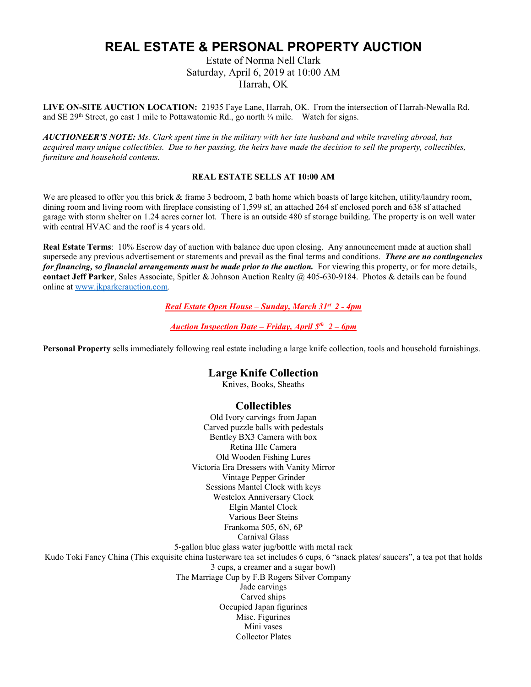# **REAL ESTATE & PERSONAL PROPERTY AUCTION**

Estate of Norma Nell Clark Saturday, April 6, 2019 at 10:00 AM Harrah, OK

**LIVE ON-SITE AUCTION LOCATION:** 21935 Faye Lane, Harrah, OK. From the intersection of Harrah-Newalla Rd. and SE 29<sup>th</sup> Street, go east 1 mile to Pottawatomie Rd., go north  $\frac{1}{4}$  mile. Watch for signs.

**AUCTIONEER'S NOTE:** Ms. Clark spent time in the military with her late husband and while traveling abroad, has acquired many unique collectibles. Due to her passing, the heirs have made the decision to sell the property, collectibles, *furniture and household contents.*

#### **REAL ESTATE SELLS AT 10:00 AM**

We are pleased to offer you this brick & frame 3 bedroom, 2 bath home which boasts of large kitchen, utility/laundry room, dining room and living room with fireplace consisting of 1,599 sf, an attached 264 sf enclosed porch and 638 sf attached garage with storm shelter on 1.24 acres corner lot. There is an outside 480 sf storage building. The property is on well water with central HVAC and the roof is 4 years old.

**Real Estate Terms**: 10% Escrow day of auction with balance due upon closing. Any announcement made at auction shall supersede any previous advertisement or statements and prevail as the final terms and conditions. *There are no contingencies for financing, so financial arrangements must be made prior to the auction.* For viewing this property, or for more details, **contact Jeff Parker**, Sales Associate, Spitler & Johnson Auction Realty @ 405-630-9184. Photos & details can be found online a[t www.jkparkerauction.com](http://www.jkparkerauction.com/)*.*

#### *Real Estate Open House – Sunday, March 31st 2 - 4pm*

*Auction Inspection Date – Friday, April 5th 2 – 6pm*

**Personal Property** sells immediately following real estate including a large knife collection, tools and household furnishings.

## **Large Knife Collection**

Knives, Books, Sheaths

### **Collectibles**

Old Ivory carvings from Japan Carved puzzle balls with pedestals Bentley BX3 Camera with box Retina IIIc Camera Old Wooden Fishing Lures Victoria Era Dressers with Vanity Mirror Vintage Pepper Grinder Sessions Mantel Clock with keys Westclox Anniversary Clock Elgin Mantel Clock Various Beer Steins Frankoma 505, 6N, 6P Carnival Glass 5-gallon blue glass water jug/bottle with metal rack Kudo Toki Fancy China (This exquisite china lusterware tea set includes 6 cups, 6 "snack plates/ saucers", a tea pot that holds 3 cups, a creamer and a sugar bowl) The Marriage Cup by F.B Rogers Silver Company Jade carvings Carved ships Occupied Japan figurines Misc. Figurines Mini vases Collector Plates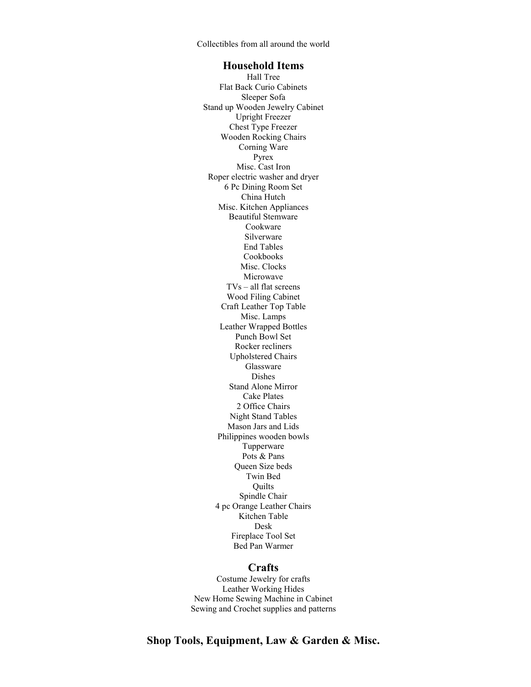Collectibles from all around the world

### **Household Items**

Hall Tree Flat Back Curio Cabinets Sleeper Sofa Stand up Wooden Jewelry Cabinet Upright Freezer Chest Type Freezer Wooden Rocking Chairs Corning Ware Pyrex Misc. Cast Iron Roper electric washer and dryer 6 Pc Dining Room Set China Hutch Misc. Kitchen Appliances Beautiful Stemware Cookware Silverware End Tables Cookbooks Misc. Clocks Microwave TVs – all flat screens Wood Filing Cabinet Craft Leather Top Table Misc. Lamps Leather Wrapped Bottles Punch Bowl Set Rocker recliners Upholstered Chairs Glassware Dishes Stand Alone Mirror Cake Plates 2 Office Chairs Night Stand Tables Mason Jars and Lids Philippines wooden bowls Tupperware Pots & Pans Queen Size beds Twin Bed **Quilts** Spindle Chair 4 pc Orange Leather Chairs Kitchen Table Desk Fireplace Tool Set Bed Pan Warmer

## **Crafts**

Costume Jewelry for crafts Leather Working Hides New Home Sewing Machine in Cabinet Sewing and Crochet supplies and patterns

**Shop Tools, Equipment, Law & Garden & Misc.**